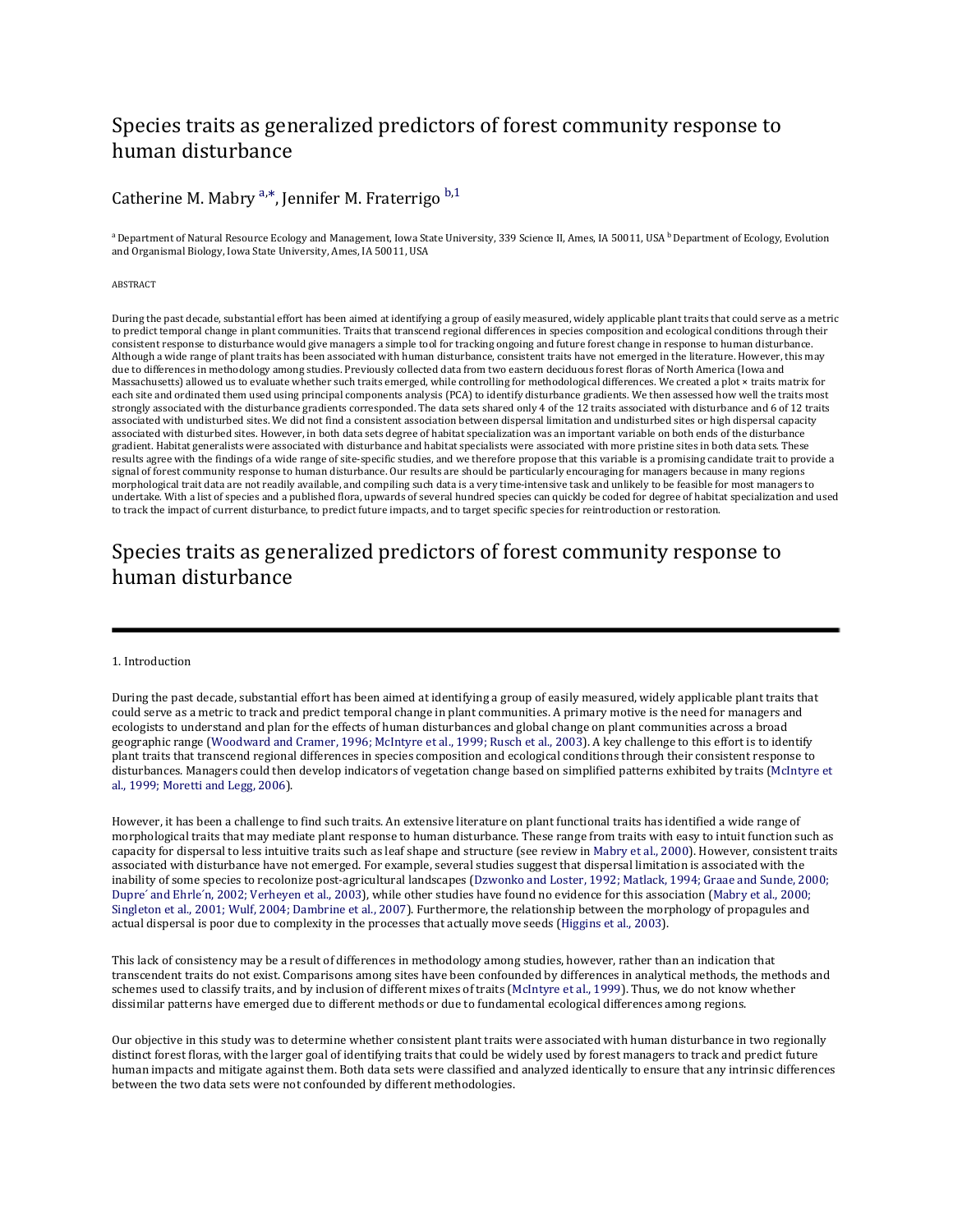## Species traits as generalized predictors of forest community response to human disturbance

## Catherine M. Mabry <sup>a,\*</sup>, Jennifer M. Fraterrigo <sup>b,1</sup>

 $^{\rm a}$  Department of Natural Resource Ecology and Management, Iowa State University, 339 Science II, Ames, IA 50011, USA  $^{\rm b}$  Department of Ecology, Evolution and Organismal Biology, Iowa State University, Ames, IA 50011, USA

## ABSTRACT

During the past decade, substantial effort has been aimed at identifying a group of easily measured, widely applicable plant traits that could serve as a metric to predict temporal change in plant communities. Traits that transcend regional differences in species composition and ecological conditions through their consistent response to disturbance would give managers a simple tool for tracking ongoing and future forest change in response to human disturbance. Although a wide range of plant traits has been associated with human disturbance, consistent traits have not emerged in the literature. However, this may due to differences in methodology among studies. Previously collected data from two eastern deciduous forest floras of North America (Iowa and Massachusetts) allowed us to evaluate whether such traits emerged, while controlling for methodological differences. We created a plot × traits matrix for each site and ordinated them used using principal components analysis (PCA) to identify disturbance gradients. We then assessed how well the traits most strongly associated with the disturbance gradients corresponded. The data sets shared only 4 of the 12 traits associated with disturbance and 6 of 12 traits associated with undisturbed sites. We did not find a consistent association between dispersal limitation and undisturbed sites or high dispersal capacity associated with disturbed sites. However, in both data sets degree of habitat specialization was an important variable on both ends of the disturbance gradient. Habitat generalists were associated with disturbance and habitat specialists were associated with more pristine sites in both data sets. These results agree with the findings of a wide range of site-specific studies, and we therefore propose that this variable is a promising candidate trait to provide a signal of forest community response to human disturbance. Our results are should be particularly encouraging for managers because in many regions morphological trait data are not readily available, and compiling such data is a very time-intensive task and unlikely to be feasible for most managers to undertake. With a list of species and a published flora, upwards of several hundred species can quickly be coded for degree of habitat specialization and used to track the impact of current disturbance, to predict future impacts, and to target specific species for reintroduction or restoration.

# Species traits as generalized predictors of forest community response to human disturbance

### 1. Introduction

During the past decade, substantial effort has been aimed at identifying a group of easily measured, widely applicable plant traits that could serve as a metric to track and predict temporal change in plant communities. A primary motive is the need for managers and ecologists to understand and plan for the effects of human disturbances and global change on plant communities across a broad geographic range (Woodward and Cramer, 1996; McIntyre et al., 1999; Rusch et al., 2003). A key challenge to this effort is to identify plant traits that transcend regional differences in species composition and ecological conditions through their consistent response to disturbances. Managers could then develop indicators of vegetation change based on simplified patterns exhibited by traits (McIntyre et al., 1999; Moretti and Legg, 2006).

However, it has been a challenge to find such traits. An extensive literature on plant functional traits has identified a wide range of morphological traits that may mediate plant response to human disturbance. These range from traits with easy to intuit function such as capacity for dispersal to less intuitive traits such as leaf shape and structure (see review in Mabry et al., 2000). However, consistent traits associated with disturbance have not emerged. For example, several studies suggest that dispersal limitation is associated with the inability of some species to recolonize post-agricultural landscapes (Dzwonko and Loster, 1992; Matlack, 1994; Graae and Sunde, 2000; Dupre' and Ehrle'n, 2002; Verheyen et al., 2003), while other studies have found no evidence for this association (Mabry et al., 2000; Singleton et al., 2001; Wulf, 2004; Dambrine et al., 2007). Furthermore, the relationship between the morphology of propagules and actual dispersal is poor due to complexity in the processes that actually move seeds (Higgins et al., 2003).

This lack of consistency may be a result of differences in methodology among studies, however, rather than an indication that transcendent traits do not exist. Comparisons among sites have been confounded by differences in analytical methods, the methods and schemes used to classify traits, and by inclusion of different mixes of traits (McIntyre et al., 1999). Thus, we do not know whether dissimilar patterns have emerged due to different methods or due to fundamental ecological differences among regions.

Our objective in this study was to determine whether consistent plant traits were associated with human disturbance in two regionally distinct forest floras, with the larger goal of identifying traits that could be widely used by forest managers to track and predict future human impacts and mitigate against them. Both data sets were classified and analyzed identically to ensure that any intrinsic differences between the two data sets were not confounded by different methodologies.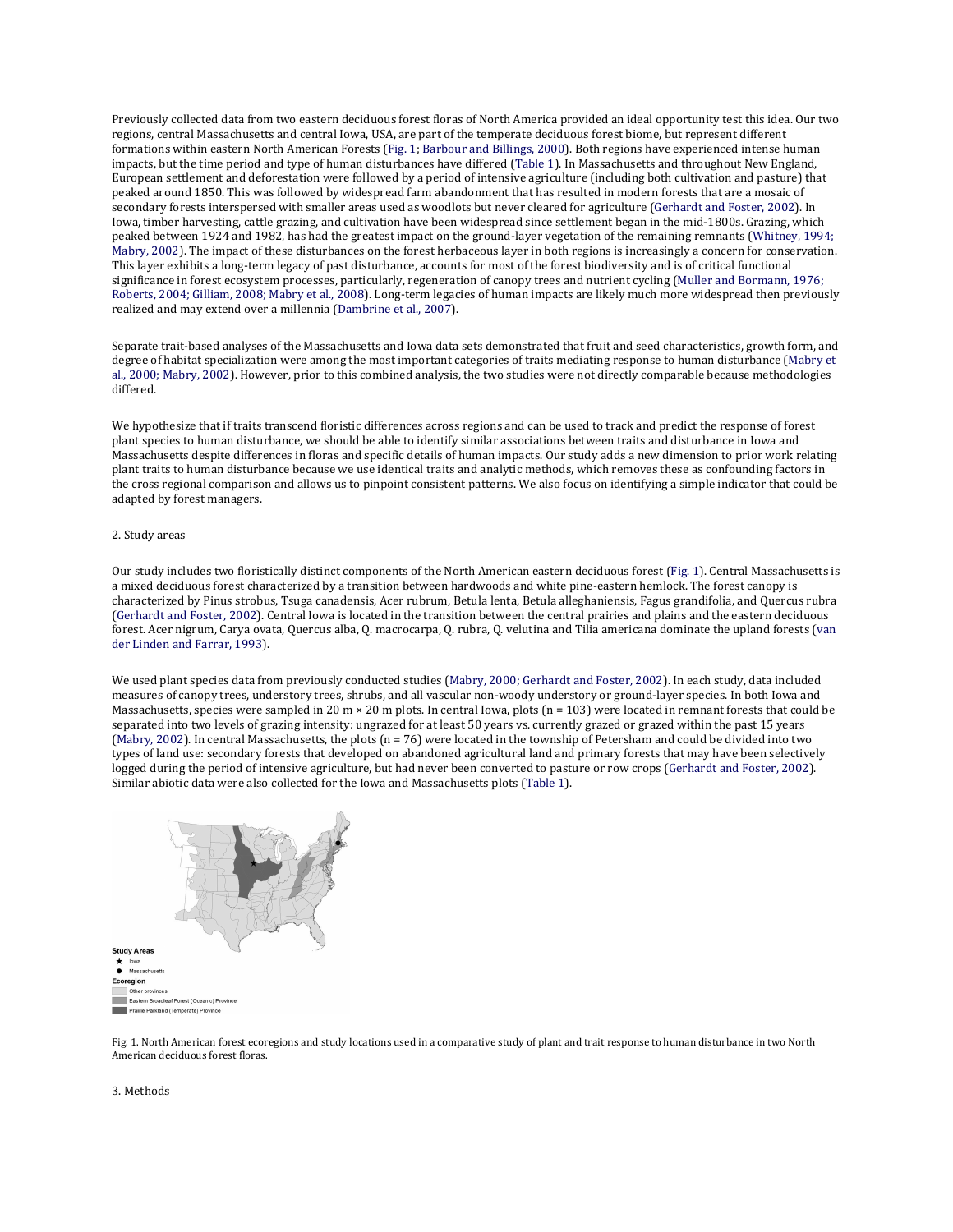Previously collected data from two eastern deciduous forest floras of North America provided an ideal opportunity test this idea. Our two regions, central Massachusetts and central Iowa, USA, are part of the temperate deciduous forest biome, but represent different formations within eastern North American Forests (Fig. 1; Barbour and Billings, 2000). Both regions have experienced intense human impacts, but the time period and type of human disturbances have differed (Table 1). In Massachusetts and throughout New England, European settlement and deforestation were followed by a period of intensive agriculture (including both cultivation and pasture) that peaked around 1850. This was followed by widespread farm abandonment that has resulted in modern forests that are a mosaic of secondary forests interspersed with smaller areas used as woodlots but never cleared for agriculture (Gerhardt and Foster, 2002). In Iowa, timber harvesting, cattle grazing, and cultivation have been widespread since settlement began in the mid-1800s. Grazing, which peaked between 1924 and 1982, has had the greatest impact on the ground-layer vegetation of the remaining remnants (Whitney, 1994; Mabry, 2002). The impact of these disturbances on the forest herbaceous layer in both regions is increasingly a concern for conservation. This layer exhibits a long-term legacy of past disturbance, accounts for most of the forest biodiversity and is of critical functional significance in forest ecosystem processes, particularly, regeneration of canopy trees and nutrient cycling (Muller and Bormann, 1976; Roberts, 2004; Gilliam, 2008; Mabry et al., 2008). Long-term legacies of human impacts are likely much more widespread then previously realized and may extend over a millennia (Dambrine et al., 2007).

Separate trait-based analyses of the Massachusetts and Iowa data sets demonstrated that fruit and seed characteristics, growth form, and degree of habitat specialization were among the most important categories of traits mediating response to human disturbance (Mabry et al., 2000; Mabry, 2002). However, prior to this combined analysis, the two studies were not directly comparable because methodologies differed.

We hypothesize that if traits transcend floristic differences across regions and can be used to track and predict the response of forest plant species to human disturbance, we should be able to identify similar associations between traits and disturbance in Iowa and Massachusetts despite differences in floras and specific details of human impacts. Our study adds a new dimension to prior work relating plant traits to human disturbance because we use identical traits and analytic methods, which removes these as confounding factors in the cross regional comparison and allows us to pinpoint consistent patterns. We also focus on identifying a simple indicator that could be adapted by forest managers.

### 2. Study areas

Our study includes two floristically distinct components of the North American eastern deciduous forest (Fig. 1). Central Massachusetts is a mixed deciduous forest characterized by a transition between hardwoods and white pine-eastern hemlock. The forest canopy is characterized by Pinus strobus, Tsuga canadensis, Acer rubrum, Betula lenta, Betula alleghaniensis, Fagus grandifolia, and Quercus rubra (Gerhardt and Foster, 2002). Central Iowa is located in the transition between the central prairies and plains and the eastern deciduous forest. Acer nigrum, Carya ovata, Quercus alba, Q. macrocarpa, Q. rubra, Q. velutina and Tilia americana dominate the upland forests (van der Linden and Farrar, 1993).

We used plant species data from previously conducted studies (Mabry, 2000; Gerhardt and Foster, 2002). In each study, data included measures of canopy trees, understory trees, shrubs, and all vascular non-woody understory or ground-layer species. In both Iowa and Massachusetts, species were sampled in 20 m  $\times$  20 m plots. In central Iowa, plots (n = 103) were located in remnant forests that could be separated into two levels of grazing intensity: ungrazed for at least 50 years vs. currently grazed or grazed within the past 15 years (Mabry, 2002). In central Massachusetts, the plots (n = 76) were located in the township of Petersham and could be divided into two types of land use: secondary forests that developed on abandoned agricultural land and primary forests that may have been selectively logged during the period of intensive agriculture, but had never been converted to pasture or row crops (Gerhardt and Foster, 2002). Similar abiotic data were also collected for the Iowa and Massachusetts plots (Table 1).



Fig. 1. North American forest ecoregions and study locations used in a comparative study of plant and trait response to human disturbance in two North American deciduous forest floras.

3. Methods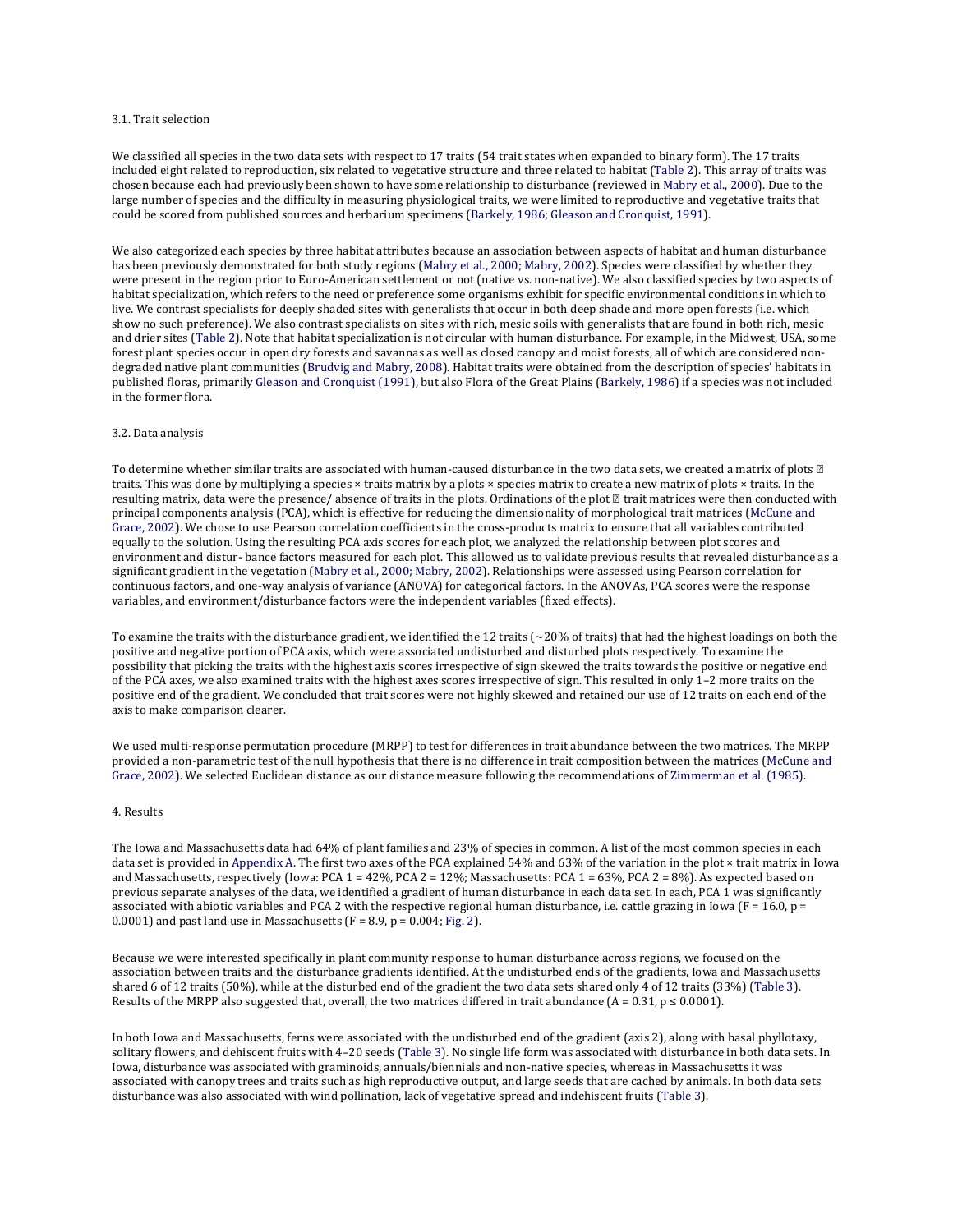## 3.1. Trait selection

We classified all species in the two data sets with respect to 17 traits (54 trait states when expanded to binary form). The 17 traits included eight related to reproduction, six related to vegetative structure and three related to habitat (Table 2). This array of traits was chosen because each had previously been shown to have some relationship to disturbance (reviewed in Mabry et al., 2000). Due to the large number of species and the difficulty in measuring physiological traits, we were limited to reproductive and vegetative traits that could be scored from published sources and herbarium specimens (Barkely, 1986; Gleason and Cronquist, 1991).

We also categorized each species by three habitat attributes because an association between aspects of habitat and human disturbance has been previously demonstrated for both study regions (Mabry et al., 2000; Mabry, 2002). Species were classified by whether they were present in the region prior to Euro-American settlement or not (native vs. non-native). We also classified species by two aspects of habitat specialization, which refers to the need or preference some organisms exhibit for specific environmental conditions in which to live. We contrast specialists for deeply shaded sites with generalists that occur in both deep shade and more open forests (i.e. which show no such preference). We also contrast specialists on sites with rich, mesic soils with generalists that are found in both rich, mesic and drier sites (Table 2). Note that habitat specialization is not circular with human disturbance. For example, in the Midwest, USA, some forest plant species occur in open dry forests and savannas as well as closed canopy and moist forests, all of which are considered nondegraded native plant communities (Brudvig and Mabry, 2008). Habitat traits were obtained from the description of species' habitats in published floras, primarily Gleason and Cronquist (1991), but also Flora of the Great Plains (Barkely, 1986) if a species was not included in the former flora.

## 3.2. Data analysis

To determine whether similar traits are associated with human-caused disturbance in the two data sets, we created a matrix of plots  $\mathbb D$ traits. This was done by multiplying a species × traits matrix by a plots × species matrix to create a new matrix of plots × traits. In the resulting matrix, data were the presence/ absence of traits in the plots. Ordinations of the plot  $\mathbb D$  trait matrices were then conducted with principal components analysis (PCA), which is effective for reducing the dimensionality of morphological trait matrices (McCune and Grace, 2002). We chose to use Pearson correlation coefficients in the cross-products matrix to ensure that all variables contributed equally to the solution. Using the resulting PCA axis scores for each plot, we analyzed the relationship between plot scores and environment and distur- bance factors measured for each plot. This allowed us to validate previous results that revealed disturbance as a significant gradient in the vegetation (Mabry et al., 2000; Mabry, 2002). Relationships were assessed using Pearson correlation for continuous factors, and one-way analysis of variance (ANOVA) for categorical factors. In the ANOVAs, PCA scores were the response variables, and environment/disturbance factors were the independent variables (fixed effects).

To examine the traits with the disturbance gradient, we identified the 12 traits ( $\sim$ 20% of traits) that had the highest loadings on both the positive and negative portion of PCA axis, which were associated undisturbed and disturbed plots respectively. To examine the possibility that picking the traits with the highest axis scores irrespective of sign skewed the traits towards the positive or negative end of the PCA axes, we also examined traits with the highest axes scores irrespective of sign. This resulted in only 1–2 more traits on the positive end of the gradient. We concluded that trait scores were not highly skewed and retained our use of 12 traits on each end of the axis to make comparison clearer.

We used multi-response permutation procedure (MRPP) to test for differences in trait abundance between the two matrices. The MRPP provided a non-parametric test of the null hypothesis that there is no difference in trait composition between the matrices (McCune and Grace, 2002). We selected Euclidean distance as our distance measure following the recommendations of Zimmerman et al. (1985).

### 4. Results

The Iowa and Massachusetts data had 64% of plant families and 23% of species in common. A list of the most common species in each data set is provided in Appendix A. The first two axes of the PCA explained 54% and 63% of the variation in the plot × trait matrix in Iowa and Massachusetts, respectively (Iowa: PCA  $1 = 42\%$ , PCA  $2 = 12\%$ ; Massachusetts: PCA  $1 = 63\%$ , PCA  $2 = 8\%$ ). As expected based on previous separate analyses of the data, we identified a gradient of human disturbance in each data set. In each, PCA 1 was significantly associated with abiotic variables and PCA 2 with the respective regional human disturbance, i.e. cattle grazing in Iowa (F = 16.0, p = 0.0001) and past land use in Massachusetts ( $F = 8.9$ ,  $p = 0.004$ ; Fig. 2).

Because we were interested specifically in plant community response to human disturbance across regions, we focused on the association between traits and the disturbance gradients identified. At the undisturbed ends of the gradients, Iowa and Massachusetts shared 6 of 12 traits (50%), while at the disturbed end of the gradient the two data sets shared only 4 of 12 traits (33%) (Table 3). Results of the MRPP also suggested that, overall, the two matrices differed in trait abundance (A = 0.31, p ≤ 0.0001).

In both Iowa and Massachusetts, ferns were associated with the undisturbed end of the gradient (axis 2), along with basal phyllotaxy, solitary flowers, and dehiscent fruits with 4–20 seeds (Table 3). No single life form was associated with disturbance in both data sets. In Iowa, disturbance was associated with graminoids, annuals/biennials and non-native species, whereas in Massachusetts it was associated with canopy trees and traits such as high reproductive output, and large seeds that are cached by animals. In both data sets disturbance was also associated with wind pollination, lack of vegetative spread and indehiscent fruits (Table 3).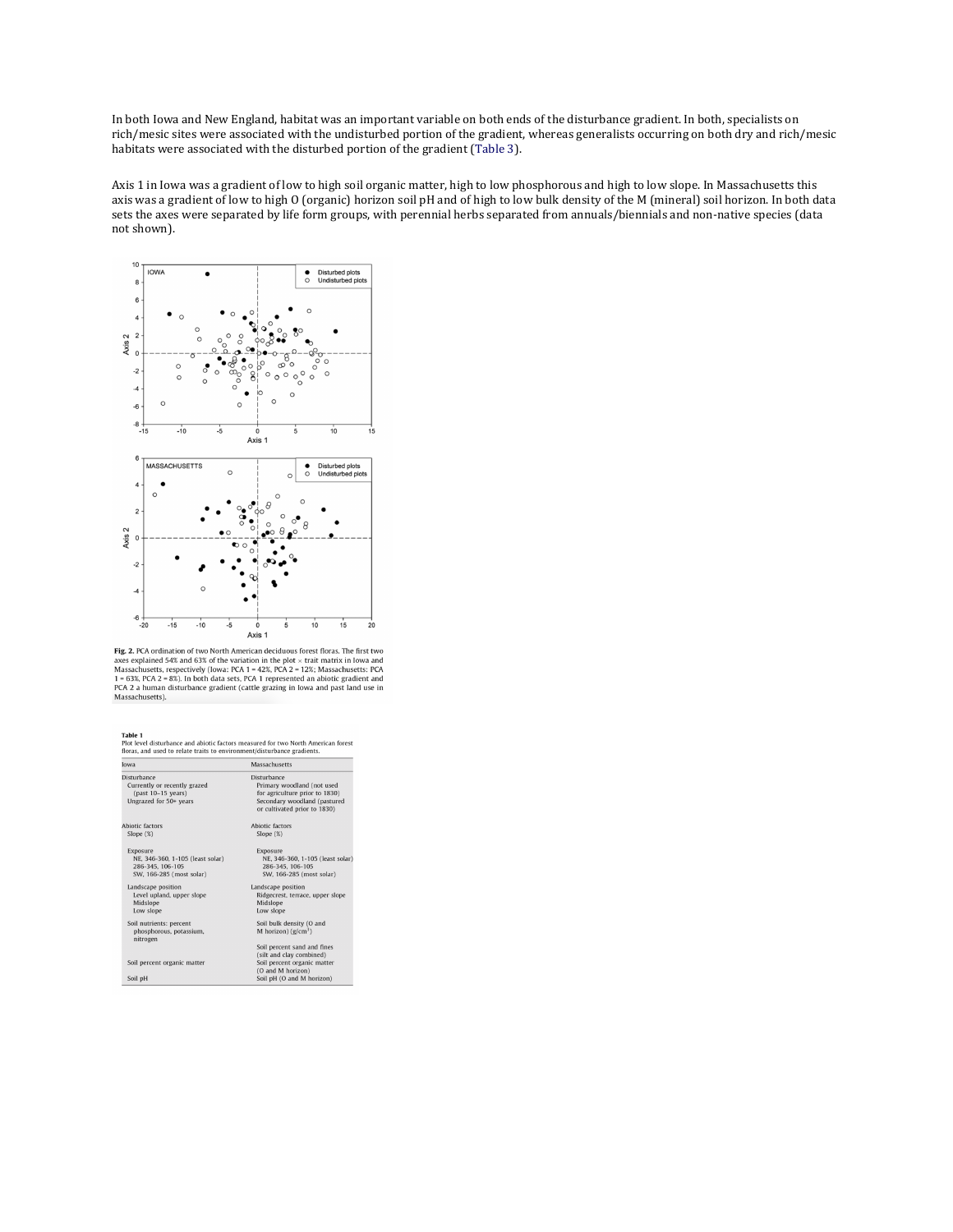In both Iowa and New England, habitat was an important variable on both ends of the disturbance gradient. In both, specialists on rich/mesic sites were associated with the undisturbed portion of the gradient, whereas generalists occurring on both dry and rich/mesic habitats were associated with the disturbed portion of the gradient (Table 3).

Axis 1 in Iowa was a gradient of low to high soil organic matter, high to low phosphorous and high to low slope. In Massachusetts this axis was a gradient of low to high O (organic) horizon soil pH and of high to low bulk density of the M (mineral) soil horizon. In both data sets the axes were separated by life form groups, with perennial herbs separated from annuals/biennials and non-native species (data not shown).



Fig. 2. PCA ordination of two North American deciduous forest floras. The first two **Example 1948** and 63% of the variation in the plot  $\times$  trait matrix in low<br>a axes explained 54% and 63% of the variation in the plot  $\times$  trait matrix in low<br>a and Massachusetts; respectively (lowa: PCA 1 = 42%, PCA 2 = Massachusetts).

Table 1

| Plot level disturbance and abiotic factors measured for two North American fores<br>floras, and used to relate traits to environment/disturbance gradients. |               |  |
|-------------------------------------------------------------------------------------------------------------------------------------------------------------|---------------|--|
| lowa                                                                                                                                                        | Massachusetts |  |

| Disturbance                                                                                  | Disturbance                                                                                  |  |  |
|----------------------------------------------------------------------------------------------|----------------------------------------------------------------------------------------------|--|--|
| Currently or recently grazed<br>(past 10-15 years)<br>Ungrazed for 50+ years                 | Primary woodland (not used<br>for agriculture prior to 1830)<br>Secondary woodland (pastured |  |  |
|                                                                                              | or cultivated prior to 1830)                                                                 |  |  |
| Abiotic factors                                                                              | Abiotic factors                                                                              |  |  |
| Slope $(\%)$                                                                                 | Slope $(\%)$                                                                                 |  |  |
| Exposure<br>NE, 346-360, 1-105 (least solar)<br>286-345, 106-105<br>SW. 166-285 (most solar) | Exposure<br>NE, 346-360, 1-105 (least solar)<br>286-345, 106-105<br>SW. 166-285 (most solar) |  |  |
| Landscape position<br>Level upland, upper slope<br>Midslope<br>Low slope                     | Landscape position<br>Ridgecrest, terrace, upper slope<br>Midslope<br>Low slope              |  |  |
| Soil nutrients: percent<br>phosphorous, potassium,<br>nitrogen                               | Soil bulk density (O and<br>M horizon) $(g/cm^3)$                                            |  |  |
|                                                                                              | Soil percent sand and fines<br>(silt and clay combined)                                      |  |  |
| Soil percent organic matter                                                                  | Soil percent organic matter<br>(O and M horizon)                                             |  |  |
| Soil pH                                                                                      | Soil pH (O and M horizon)                                                                    |  |  |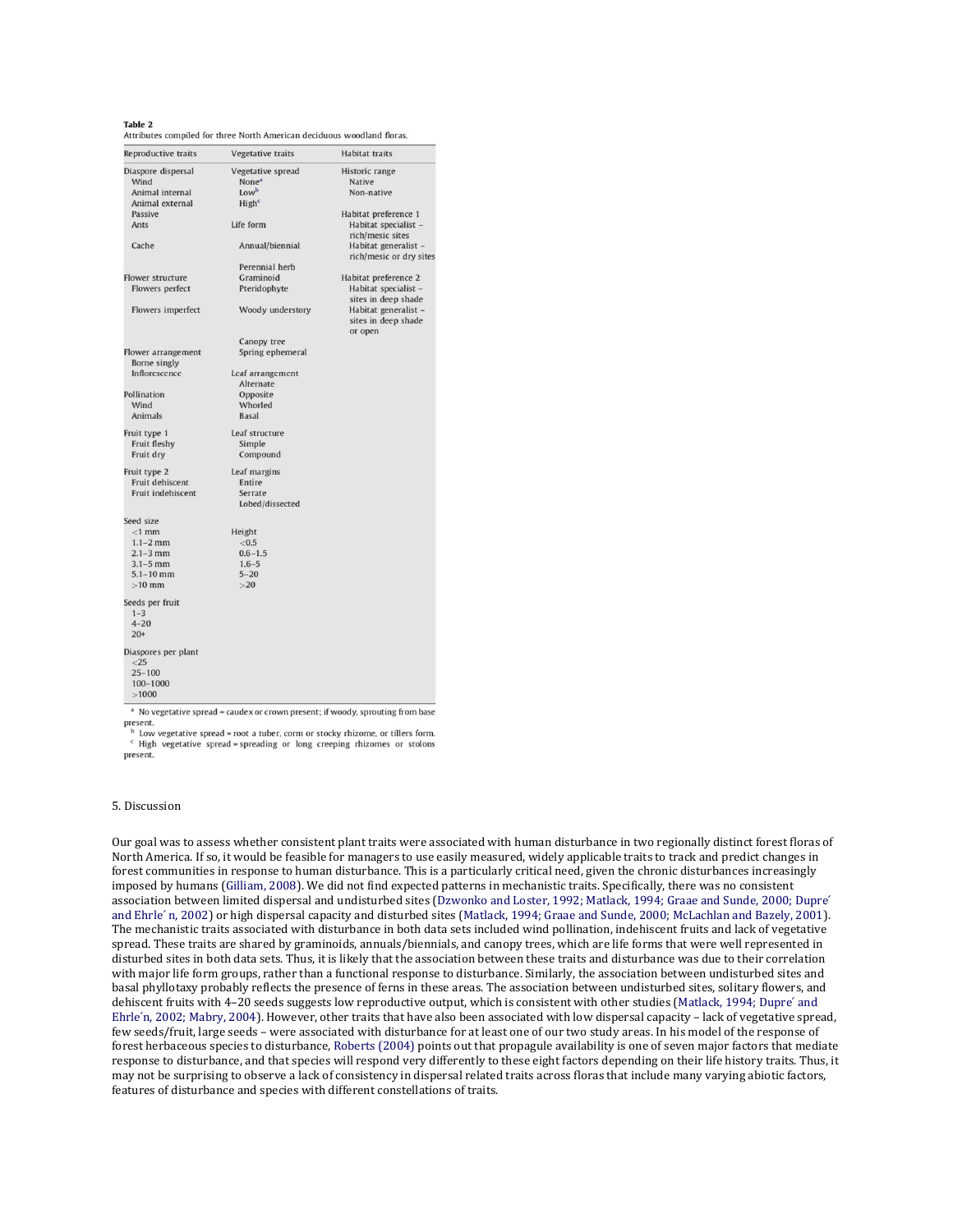|  | י |  |  |
|--|---|--|--|
|--|---|--|--|

Attributes compiled for three North American deciduous woodland floras.

| Vegetative traits | <b>Habitat traits</b>                                                                                                                                                                                                                                                                                                             |
|-------------------|-----------------------------------------------------------------------------------------------------------------------------------------------------------------------------------------------------------------------------------------------------------------------------------------------------------------------------------|
|                   | Historic range                                                                                                                                                                                                                                                                                                                    |
|                   | <b>Native</b>                                                                                                                                                                                                                                                                                                                     |
|                   | Non-native                                                                                                                                                                                                                                                                                                                        |
|                   |                                                                                                                                                                                                                                                                                                                                   |
|                   | Habitat preference 1                                                                                                                                                                                                                                                                                                              |
|                   | Habitat specialist -<br>rich/mesic sites                                                                                                                                                                                                                                                                                          |
| Annual/biennial   | Habitat generalist -<br>rich/mesic or dry sit                                                                                                                                                                                                                                                                                     |
|                   |                                                                                                                                                                                                                                                                                                                                   |
|                   | Habitat preference 2                                                                                                                                                                                                                                                                                                              |
|                   | Habitat specialist -                                                                                                                                                                                                                                                                                                              |
|                   | sites in deep shade                                                                                                                                                                                                                                                                                                               |
| Woody understory  | Habitat generalist -<br>sites in deep shade                                                                                                                                                                                                                                                                                       |
|                   | or open                                                                                                                                                                                                                                                                                                                           |
| Canopy tree       |                                                                                                                                                                                                                                                                                                                                   |
|                   |                                                                                                                                                                                                                                                                                                                                   |
|                   |                                                                                                                                                                                                                                                                                                                                   |
|                   |                                                                                                                                                                                                                                                                                                                                   |
| Opposite          |                                                                                                                                                                                                                                                                                                                                   |
|                   |                                                                                                                                                                                                                                                                                                                                   |
|                   |                                                                                                                                                                                                                                                                                                                                   |
|                   |                                                                                                                                                                                                                                                                                                                                   |
| Simple            |                                                                                                                                                                                                                                                                                                                                   |
| Compound          |                                                                                                                                                                                                                                                                                                                                   |
|                   |                                                                                                                                                                                                                                                                                                                                   |
|                   |                                                                                                                                                                                                                                                                                                                                   |
|                   |                                                                                                                                                                                                                                                                                                                                   |
| Lobed/dissected   |                                                                                                                                                                                                                                                                                                                                   |
|                   |                                                                                                                                                                                                                                                                                                                                   |
|                   |                                                                                                                                                                                                                                                                                                                                   |
|                   |                                                                                                                                                                                                                                                                                                                                   |
|                   |                                                                                                                                                                                                                                                                                                                                   |
|                   |                                                                                                                                                                                                                                                                                                                                   |
|                   |                                                                                                                                                                                                                                                                                                                                   |
| >20               |                                                                                                                                                                                                                                                                                                                                   |
|                   |                                                                                                                                                                                                                                                                                                                                   |
|                   |                                                                                                                                                                                                                                                                                                                                   |
|                   |                                                                                                                                                                                                                                                                                                                                   |
|                   |                                                                                                                                                                                                                                                                                                                                   |
|                   |                                                                                                                                                                                                                                                                                                                                   |
|                   |                                                                                                                                                                                                                                                                                                                                   |
|                   |                                                                                                                                                                                                                                                                                                                                   |
|                   |                                                                                                                                                                                                                                                                                                                                   |
|                   |                                                                                                                                                                                                                                                                                                                                   |
|                   | Vegetative spread<br>None <sup>a</sup><br>Lowb<br>High <sup>c</sup><br>Life form<br>Perennial herb<br>Graminoid<br>Pteridophyte<br>Spring ephemeral<br>Lcaf arrangement<br>Alternate<br>Whorled<br><b>Basal</b><br>Leaf structure<br>Leaf margins<br>Entire<br>Serrate<br>Height<br>< 0.5<br>$0.6 - 1.5$<br>$1.6 - 5$<br>$5 - 20$ |

base No vege caudex or crown present; if woody, sprouting from present.

Low vegetative spread = root a tuber, corm or stocky rhizome, or tillers form. Fight vegetative spread = spreading or long creeping rhizomes or stolons present.

## 5. Discussion

Our goal was to assess whether consistent plant traits were associated with human disturbance in two regionally distinct forest floras of North America. If so, it would be feasible for managers to use easily measured, widely applicable traits to track and predict changes in forest communities in response to human disturbance. This is a particularly critical need, given the chronic disturbances increasingly imposed by humans (Gilliam, 2008). We did not find expected patterns in mechanistic traits. Specifically, there was no consistent association between limited dispersal and undisturbed sites (Dzwonko and Loster, 1992; Matlack, 1994; Graae and Sunde, 2000; Dupre ́ and Ehrle'n, 2002) or high dispersal capacity and disturbed sites (Matlack, 1994; Graae and Sunde, 2000; McLachlan and Bazely, 2001). The mechanistic traits associated with disturbance in both data sets included wind pollination, indehiscent fruits and lack of vegetative spread. These traits are shared by graminoids, annuals/biennials, and canopy trees, which are life forms that were well represented in disturbed sites in both data sets. Thus, it is likely that the association between these traits and disturbance was due to their correlation with major life form groups, rather than a functional response to disturbance. Similarly, the association between undisturbed sites and basal phyllotaxy probably reflects the presence of ferns in these areas. The association between undisturbed sites, solitary flowers, and dehiscent fruits with 4–20 seeds suggests low reproductive output, which is consistent with other studies (Matlack, 1994; Dupre' and Ehrle'n, 2002; Mabry, 2004). However, other traits that have also been associated with low dispersal capacity - lack of vegetative spread, few seeds/fruit, large seeds – were associated with disturbance for at least one of our two study areas. In his model of the response of forest herbaceous species to disturbance, Roberts (2004) points out that propagule availability is one of seven major factors that mediate response to disturbance, and that species will respond very differently to these eight factors depending on their life history traits. Thus, it may not be surprising to observe a lack of consistency in dispersal related traits across floras that include many varying abiotic factors, features of disturbance and species with different constellations of traits.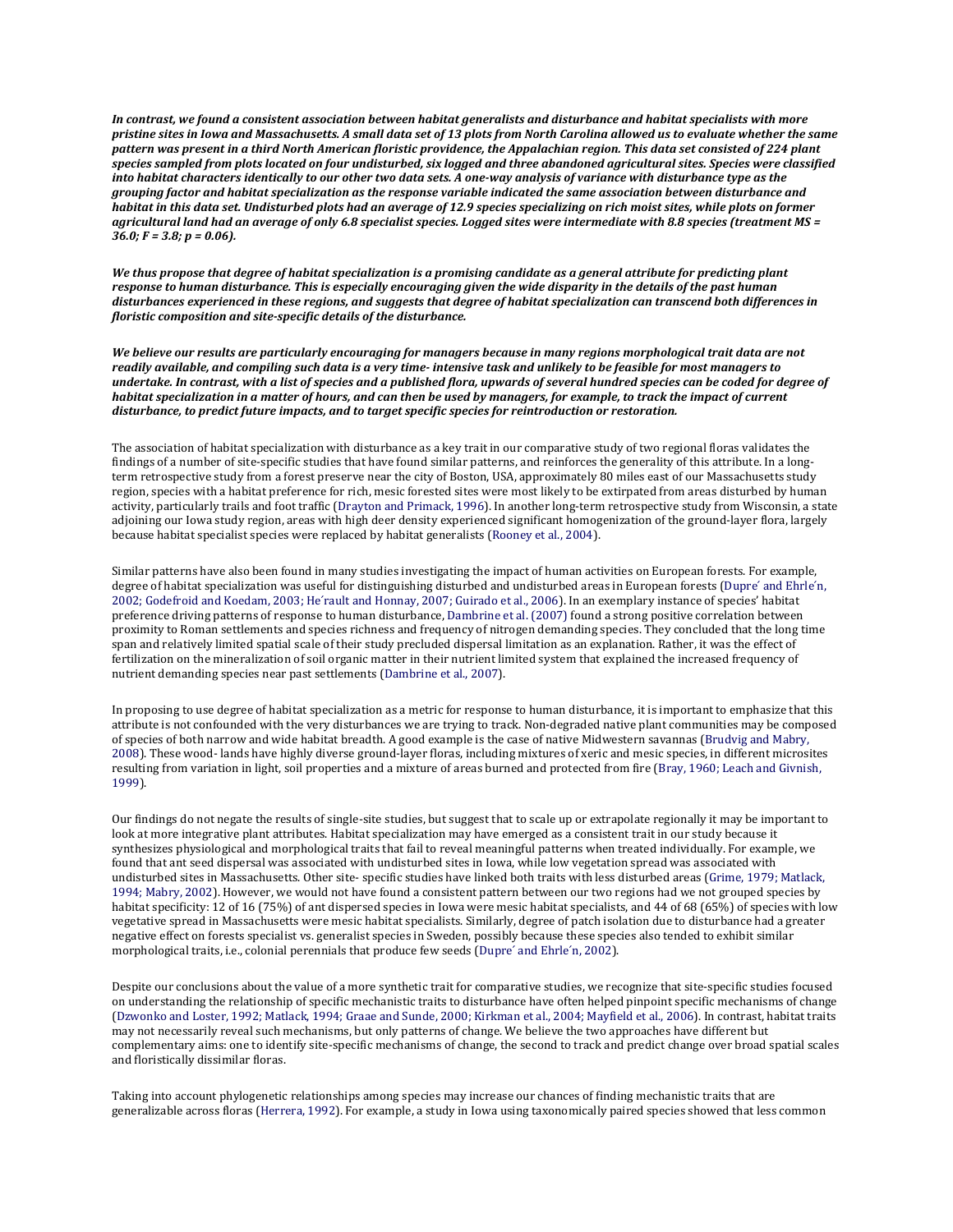*In contrast, we found a consistent association between habitat generalists and disturbance and habitat specialists with more pristine sites in Iowa and Massachusetts. A small data set of 13 plots from North Carolina allowed us to evaluate whether the same pattern was present in a third North American floristic providence, the Appalachian region. This data set consisted of 224 plant species sampled from plots located on four undisturbed, six logged and three abandoned agricultural sites. Species were classified into habitat characters identically to our other two data sets. A one-way analysis of variance with disturbance type as the grouping factor and habitat specialization as the response variable indicated the same association between disturbance and habitat in this data set. Undisturbed plots had an average of 12.9 species specializing on rich moist sites, while plots on former agricultural land had an average of only 6.8 specialist species. Logged sites were intermediate with 8.8 species (treatment MS = 36.0; F = 3.8; p = 0.06).* 

*We thus propose that degree of habitat specialization is a promising candidate as a general attribute for predicting plant response to human disturbance. This is especially encouraging given the wide disparity in the details of the past human disturbances experienced in these regions, and suggests that degree of habitat specialization can transcend both differences in floristic composition and site-specific details of the disturbance.* 

*We believe our results are particularly encouraging for managers because in many regions morphological trait data are not readily available, and compiling such data is a very time- intensive task and unlikely to be feasible for most managers to undertake. In contrast, with a list of species and a published flora, upwards of several hundred species can be coded for degree of habitat specialization in a matter of hours, and can then be used by managers, for example, to track the impact of current disturbance, to predict future impacts, and to target specific species for reintroduction or restoration.* 

The association of habitat specialization with disturbance as a key trait in our comparative study of two regional floras validates the findings of a number of site-specific studies that have found similar patterns, and reinforces the generality of this attribute. In a longterm retrospective study from a forest preserve near the city of Boston, USA, approximately 80 miles east of our Massachusetts study region, species with a habitat preference for rich, mesic forested sites were most likely to be extirpated from areas disturbed by human activity, particularly trails and foot traffic (Drayton and Primack, 1996). In another long-term retrospective study from Wisconsin, a state adjoining our Iowa study region, areas with high deer density experienced significant homogenization of the ground-layer flora, largely because habitat specialist species were replaced by habitat generalists (Rooney et al., 2004).

Similar patterns have also been found in many studies investigating the impact of human activities on European forests. For example, degree of habitat specialization was useful for distinguishing disturbed and undisturbed areas in European forests (Dupre' and Ehrle'n, 2002; Godefroid and Koedam, 2003; He ́rault and Honnay, 2007; Guirado et al., 2006). In an exemplary instance of species' habitat preference driving patterns of response to human disturbance, Dambrine et al. (2007) found a strong positive correlation between proximity to Roman settlements and species richness and frequency of nitrogen demanding species. They concluded that the long time span and relatively limited spatial scale of their study precluded dispersal limitation as an explanation. Rather, it was the effect of fertilization on the mineralization of soil organic matter in their nutrient limited system that explained the increased frequency of nutrient demanding species near past settlements (Dambrine et al., 2007).

In proposing to use degree of habitat specialization as a metric for response to human disturbance, it is important to emphasize that this attribute is not confounded with the very disturbances we are trying to track. Non-degraded native plant communities may be composed of species of both narrow and wide habitat breadth. A good example is the case of native Midwestern savannas (Brudvig and Mabry, 2008). These wood- lands have highly diverse ground-layer floras, including mixtures of xeric and mesic species, in different microsites resulting from variation in light, soil properties and a mixture of areas burned and protected from fire (Bray, 1960; Leach and Givnish, 1999).

Our findings do not negate the results of single-site studies, but suggest that to scale up or extrapolate regionally it may be important to look at more integrative plant attributes. Habitat specialization may have emerged as a consistent trait in our study because it synthesizes physiological and morphological traits that fail to reveal meaningful patterns when treated individually. For example, we found that ant seed dispersal was associated with undisturbed sites in Iowa, while low vegetation spread was associated with undisturbed sites in Massachusetts. Other site- specific studies have linked both traits with less disturbed areas (Grime, 1979; Matlack, 1994; Mabry, 2002). However, we would not have found a consistent pattern between our two regions had we not grouped species by habitat specificity: 12 of 16 (75%) of ant dispersed species in Iowa were mesic habitat specialists, and 44 of 68 (65%) of species with low vegetative spread in Massachusetts were mesic habitat specialists. Similarly, degree of patch isolation due to disturbance had a greater negative effect on forests specialist vs. generalist species in Sweden, possibly because these species also tended to exhibit similar morphological traits, i.e., colonial perennials that produce few seeds (Dupre' and Ehrle'n, 2002).

Despite our conclusions about the value of a more synthetic trait for comparative studies, we recognize that site-specific studies focused on understanding the relationship of specific mechanistic traits to disturbance have often helped pinpoint specific mechanisms of change (Dzwonko and Loster, 1992; Matlack, 1994; Graae and Sunde, 2000; Kirkman et al., 2004; Mayfield et al., 2006). In contrast, habitat traits may not necessarily reveal such mechanisms, but only patterns of change. We believe the two approaches have different but complementary aims: one to identify site-specific mechanisms of change, the second to track and predict change over broad spatial scales and floristically dissimilar floras.

Taking into account phylogenetic relationships among species may increase our chances of finding mechanistic traits that are generalizable across floras (Herrera, 1992). For example, a study in Iowa using taxonomically paired species showed that less common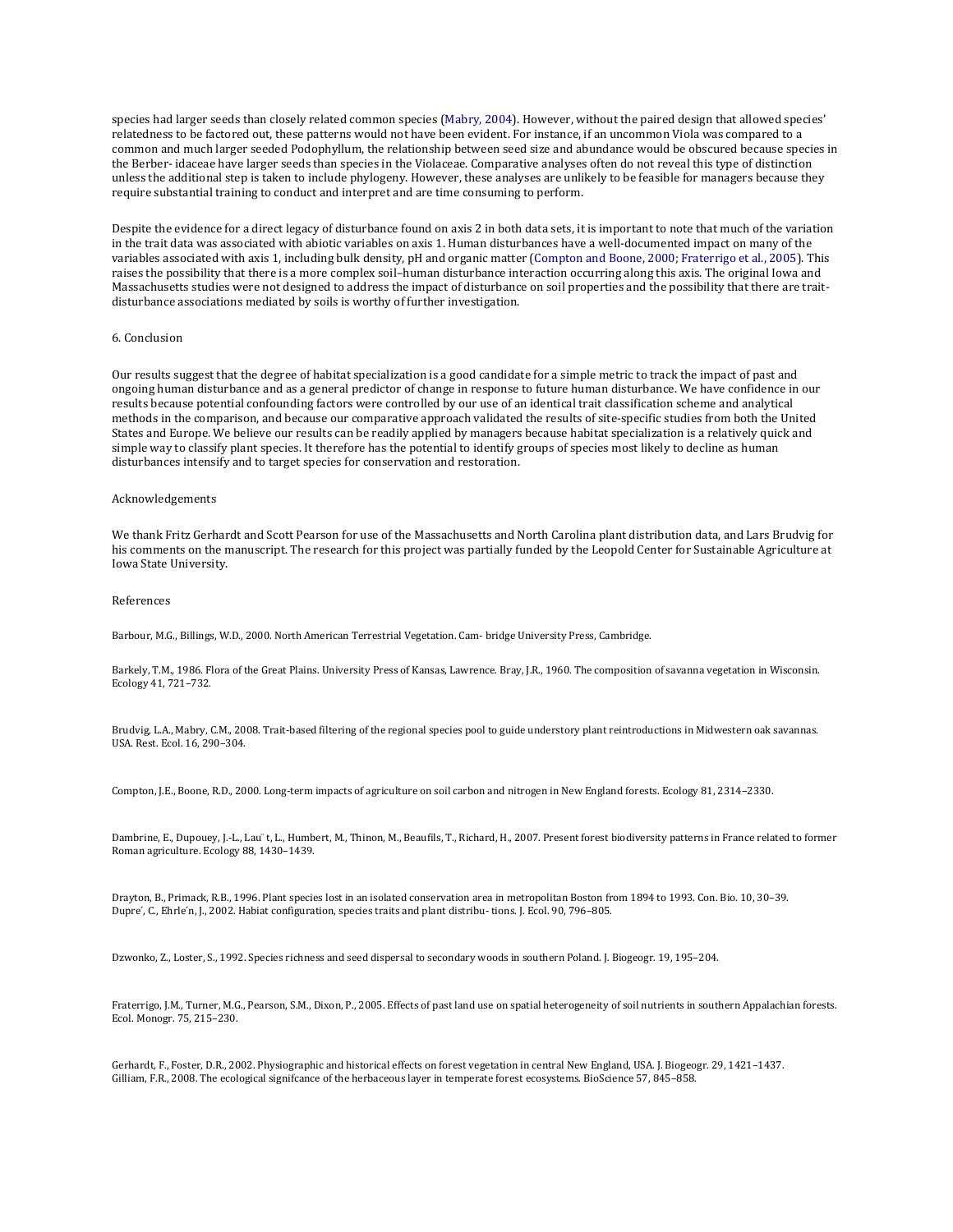species had larger seeds than closely related common species (Mabry, 2004). However, without the paired design that allowed species' relatedness to be factored out, these patterns would not have been evident. For instance, if an uncommon Viola was compared to a common and much larger seeded Podophyllum, the relationship between seed size and abundance would be obscured because species in the Berber- idaceae have larger seeds than species in the Violaceae. Comparative analyses often do not reveal this type of distinction unless the additional step is taken to include phylogeny. However, these analyses are unlikely to be feasible for managers because they require substantial training to conduct and interpret and are time consuming to perform.

Despite the evidence for a direct legacy of disturbance found on axis 2 in both data sets, it is important to note that much of the variation in the trait data was associated with abiotic variables on axis 1. Human disturbances have a well-documented impact on many of the variables associated with axis 1, including bulk density, pH and organic matter (Compton and Boone, 2000; Fraterrigo et al., 2005). This raises the possibility that there is a more complex soil–human disturbance interaction occurring along this axis. The original Iowa and Massachusetts studies were not designed to address the impact of disturbance on soil properties and the possibility that there are traitdisturbance associations mediated by soils is worthy of further investigation.

## 6. Conclusion

Our results suggest that the degree of habitat specialization is a good candidate for a simple metric to track the impact of past and ongoing human disturbance and as a general predictor of change in response to future human disturbance. We have confidence in our results because potential confounding factors were controlled by our use of an identical trait classification scheme and analytical methods in the comparison, and because our comparative approach validated the results of site-specific studies from both the United States and Europe. We believe our results can be readily applied by managers because habitat specialization is a relatively quick and simple way to classify plant species. It therefore has the potential to identify groups of species most likely to decline as human disturbances intensify and to target species for conservation and restoration.

#### Acknowledgements

We thank Fritz Gerhardt and Scott Pearson for use of the Massachusetts and North Carolina plant distribution data, and Lars Brudvig for his comments on the manuscript. The research for this project was partially funded by the Leopold Center for Sustainable Agriculture at Iowa State University.

## References

Barbour, M.G., Billings, W.D., 2000. North American Terrestrial Vegetation. Cam- bridge University Press, Cambridge.

Barkely, T.M., 1986. Flora of the Great Plains. University Press of Kansas, Lawrence. Bray, J.R., 1960. The composition of savanna vegetation in Wisconsin. Ecology 41, 721–732.

Brudvig, L.A., Mabry, C.M., 2008. Trait-based filtering of the regional species pool to guide understory plant reintroductions in Midwestern oak savannas. USA. Rest. Ecol. 16, 290–304.

Compton, J.E., Boone, R.D., 2000. Long-term impacts of agriculture on soil carbon and nitrogen in New England forests. Ecology 81, 2314–2330.

Dambrine, E., Dupouey, J.-L., Lau"t, L., Humbert, M., Thinon, M., Beaufils, T., Richard, H., 2007. Present forest biodiversity patterns in France related to former Roman agriculture. Ecology 88, 1430–1439.

Drayton, B., Primack, R.B., 1996. Plant species lost in an isolated conservation area in metropolitan Boston from 1894 to 1993. Con. Bio. 10, 30–39. Dupre ́, C., Ehrle ́n, J., 2002. Habiat configuration, species traits and plant distribu- tions. J. Ecol. 90, 796–805.

Dzwonko, Z., Loster, S., 1992. Species richness and seed dispersal to secondary woods in southern Poland. J. Biogeogr. 19, 195–204.

Fraterrigo, J.M., Turner, M.G., Pearson, S.M., Dixon, P., 2005. Effects of past land use on spatial heterogeneity of soil nutrients in southern Appalachian forests. Ecol. Monogr. 75, 215–230.

Gerhardt, F., Foster, D.R., 2002. Physiographic and historical effects on forest vegetation in central New England, USA. J. Biogeogr. 29, 1421–1437. Gilliam, F.R., 2008. The ecological signifcance of the herbaceous layer in temperate forest ecosystems. BioScience 57, 845–858.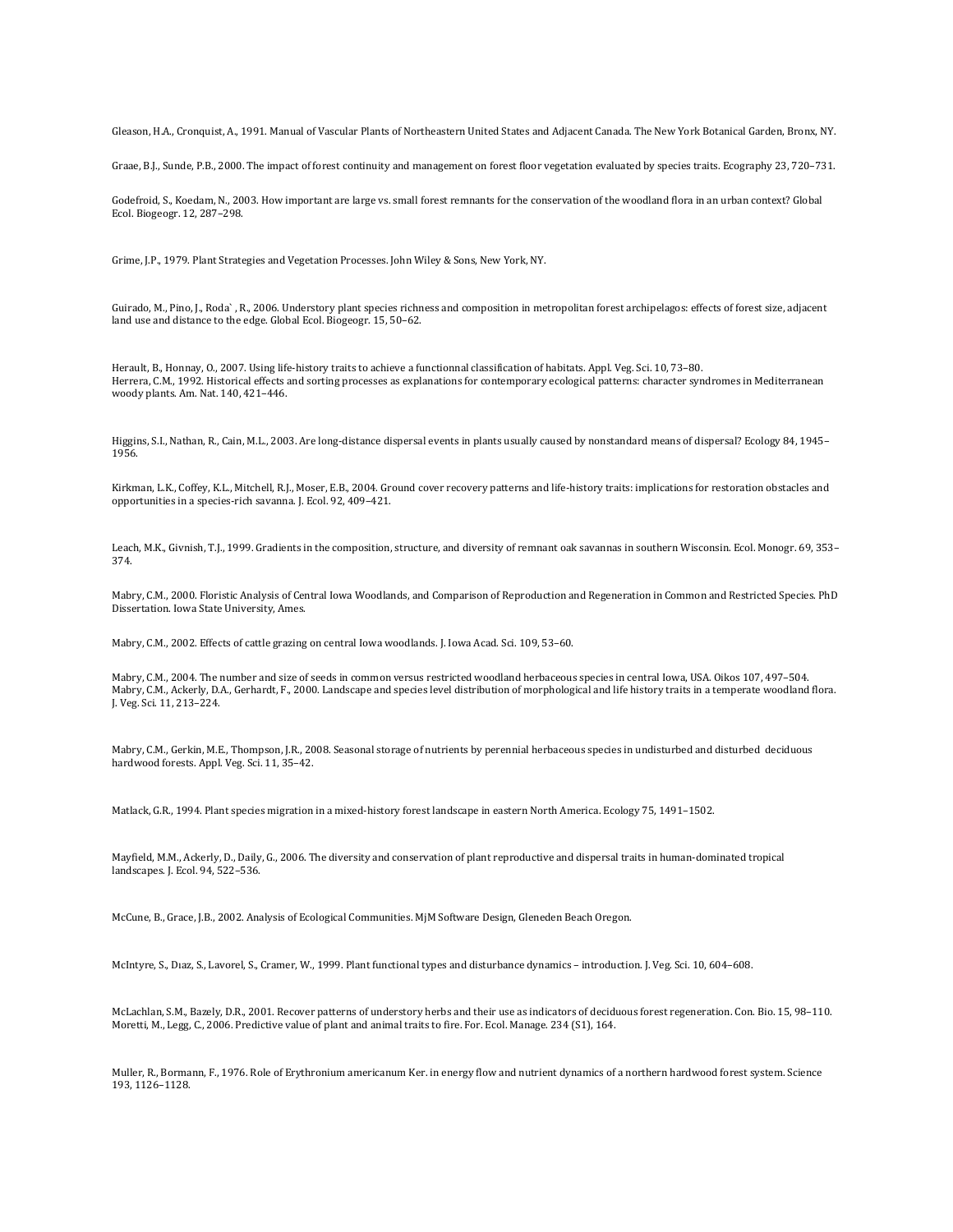Gleason, H.A., Cronquist, A., 1991. Manual of Vascular Plants of Northeastern United States and Adjacent Canada. The New York Botanical Garden, Bronx, NY.

Graae, B.J., Sunde, P.B., 2000. The impact of forest continuity and management on forest floor vegetation evaluated by species traits. Ecography 23, 720–731.

Godefroid, S., Koedam, N., 2003. How important are large vs. small forest remnants for the conservation of the woodland flora in an urban context? Global Ecol. Biogeogr. 12, 287–298.

Grime, J.P., 1979. Plant Strategies and Vegetation Processes. John Wiley & Sons, New York, NY.

Guirado, M., Pino, J., Roda`, R., 2006. Understory plant species richness and composition in metropolitan forest archipelagos: effects of forest size, adjacent land use and distance to the edge. Global Ecol. Biogeogr. 15, 50–62.

Herault, B., Honnay, O., 2007. Using life-history traits to achieve a functionnal classification of habitats. Appl. Veg. Sci. 10, 73–80. Herrera, C.M., 1992. Historical effects and sorting processes as explanations for contemporary ecological patterns: character syndromes in Mediterranean woody plants. Am. Nat. 140, 421–446.

Higgins, S.I., Nathan, R., Cain, M.L., 2003. Are long-distance dispersal events in plants usually caused by nonstandard means of dispersal? Ecology 84, 1945– 1956.

Kirkman, L.K., Coffey, K.L., Mitchell, R.J., Moser, E.B., 2004. Ground cover recovery patterns and life-history traits: implications for restoration obstacles and opportunities in a species-rich savanna. J. Ecol. 92, 409–421.

Leach, M.K., Givnish, T.J., 1999. Gradients in the composition, structure, and diversity of remnant oak savannas in southern Wisconsin. Ecol. Monogr. 69, 353– 374.

Mabry, C.M., 2000. Floristic Analysis of Central Iowa Woodlands, and Comparison of Reproduction and Regeneration in Common and Restricted Species. PhD Dissertation. Iowa State University, Ames.

Mabry, C.M., 2002. Effects of cattle grazing on central Iowa woodlands. J. Iowa Acad. Sci. 109, 53–60.

Mabry, C.M., 2004. The number and size of seeds in common versus restricted woodland herbaceous species in central Iowa, USA. Oikos 107, 497–504. Mabry, C.M., Ackerly, D.A., Gerhardt, F., 2000. Landscape and species level distribution of morphological and life history traits in a temperate woodland flora. J. Veg. Sci. 11, 213–224.

Mabry, C.M., Gerkin, M.E., Thompson, J.R., 2008. Seasonal storage of nutrients by perennial herbaceous species in undisturbed and disturbed deciduous hardwood forests. Appl. Veg. Sci. 11, 35–42.

Matlack, G.R., 1994. Plant species migration in a mixed-history forest landscape in eastern North America. Ecology 75, 1491–1502.

Mayfield, M.M., Ackerly, D., Daily, G., 2006. The diversity and conservation of plant reproductive and dispersal traits in human-dominated tropical landscapes. J. Ecol. 94, 522–536.

McCune, B., Grace, J.B., 2002. Analysis of Ecological Communities. MjM Software Design, Gleneden Beach Oregon.

McIntyre, S., Dıaz, S., Lavorel, S., Cramer, W., 1999. Plant functional types and disturbance dynamics – introduction. J. Veg. Sci. 10, 604–608.

McLachlan, S.M., Bazely, D.R., 2001. Recover patterns of understory herbs and their use as indicators of deciduous forest regeneration. Con. Bio. 15, 98–110. Moretti, M., Legg, C., 2006. Predictive value of plant and animal traits to fire. For. Ecol. Manage. 234 (S1), 164.

Muller, R., Bormann, F., 1976. Role of Erythronium americanum Ker. in energy flow and nutrient dynamics of a northern hardwood forest system. Science 193, 1126–1128.